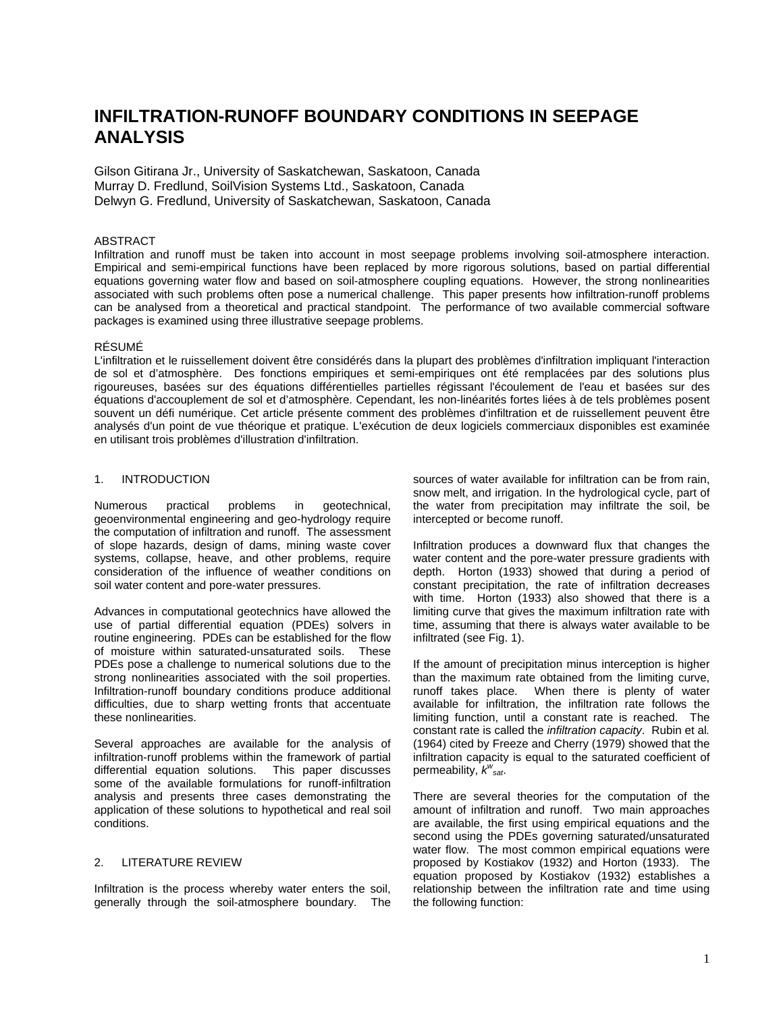# **INFILTRATION-RUNOFF BOUNDARY CONDITIONS IN SEEPAGE ANALYSIS**

Gilson Gitirana Jr., University of Saskatchewan, Saskatoon, Canada Murray D. Fredlund, SoilVision Systems Ltd., Saskatoon, Canada Delwyn G. Fredlund, University of Saskatchewan, Saskatoon, Canada

## ABSTRACT

Infiltration and runoff must be taken into account in most seepage problems involving soil-atmosphere interaction. Empirical and semi-empirical functions have been replaced by more rigorous solutions, based on partial differential equations governing water flow and based on soil-atmosphere coupling equations. However, the strong nonlinearities associated with such problems often pose a numerical challenge. This paper presents how infiltration-runoff problems can be analysed from a theoretical and practical standpoint. The performance of two available commercial software packages is examined using three illustrative seepage problems.

## RÉSUMÉ

L'infiltration et le ruissellement doivent être considérés dans la plupart des problèmes d'infiltration impliquant l'interaction de sol et d'atmosphère. Des fonctions empiriques et semi-empiriques ont été remplacées par des solutions plus rigoureuses, basées sur des équations différentielles partielles régissant l'écoulement de l'eau et basées sur des équations d'accouplement de sol et d'atmosphère. Cependant, les non-linéarités fortes liées à de tels problèmes posent souvent un défi numérique. Cet article présente comment des problèmes d'infiltration et de ruissellement peuvent être analysés d'un point de vue théorique et pratique. L'exécution de deux logiciels commerciaux disponibles est examinée en utilisant trois problèmes d'illustration d'infiltration.

# 1. INTRODUCTION

Numerous practical problems in geotechnical, geoenvironmental engineering and geo-hydrology require the computation of infiltration and runoff. The assessment of slope hazards, design of dams, mining waste cover systems, collapse, heave, and other problems, require consideration of the influence of weather conditions on soil water content and pore-water pressures.

Advances in computational geotechnics have allowed the use of partial differential equation (PDEs) solvers in routine engineering. PDEs can be established for the flow of moisture within saturated-unsaturated soils. These PDEs pose a challenge to numerical solutions due to the strong nonlinearities associated with the soil properties. Infiltration-runoff boundary conditions produce additional difficulties, due to sharp wetting fronts that accentuate these nonlinearities.

Several approaches are available for the analysis of infiltration-runoff problems within the framework of partial differential equation solutions. This paper discusses some of the available formulations for runoff-infiltration analysis and presents three cases demonstrating the application of these solutions to hypothetical and real soil conditions.

# 2. LITERATURE REVIEW

Infiltration is the process whereby water enters the soil, generally through the soil-atmosphere boundary. The sources of water available for infiltration can be from rain, snow melt, and irrigation. In the hydrological cycle, part of the water from precipitation may infiltrate the soil, be intercepted or become runoff.

Infiltration produces a downward flux that changes the water content and the pore-water pressure gradients with depth. Horton (1933) showed that during a period of constant precipitation, the rate of infiltration decreases with time. Horton (1933) also showed that there is a limiting curve that gives the maximum infiltration rate with time, assuming that there is always water available to be infiltrated (see Fig. 1).

If the amount of precipitation minus interception is higher than the maximum rate obtained from the limiting curve, runoff takes place. When there is plenty of water available for infiltration, the infiltration rate follows the limiting function, until a constant rate is reached. The constant rate is called the *infiltration capacity*. Rubin et al*.*  (1964) cited by Freeze and Cherry (1979) showed that the infiltration capacity is equal to the saturated coefficient of permeability, *k<sup>w</sup> sat*.

There are several theories for the computation of the amount of infiltration and runoff. Two main approaches are available, the first using empirical equations and the second using the PDEs governing saturated/unsaturated water flow. The most common empirical equations were proposed by Kostiakov (1932) and Horton (1933). The equation proposed by Kostiakov (1932) establishes a relationship between the infiltration rate and time using the following function: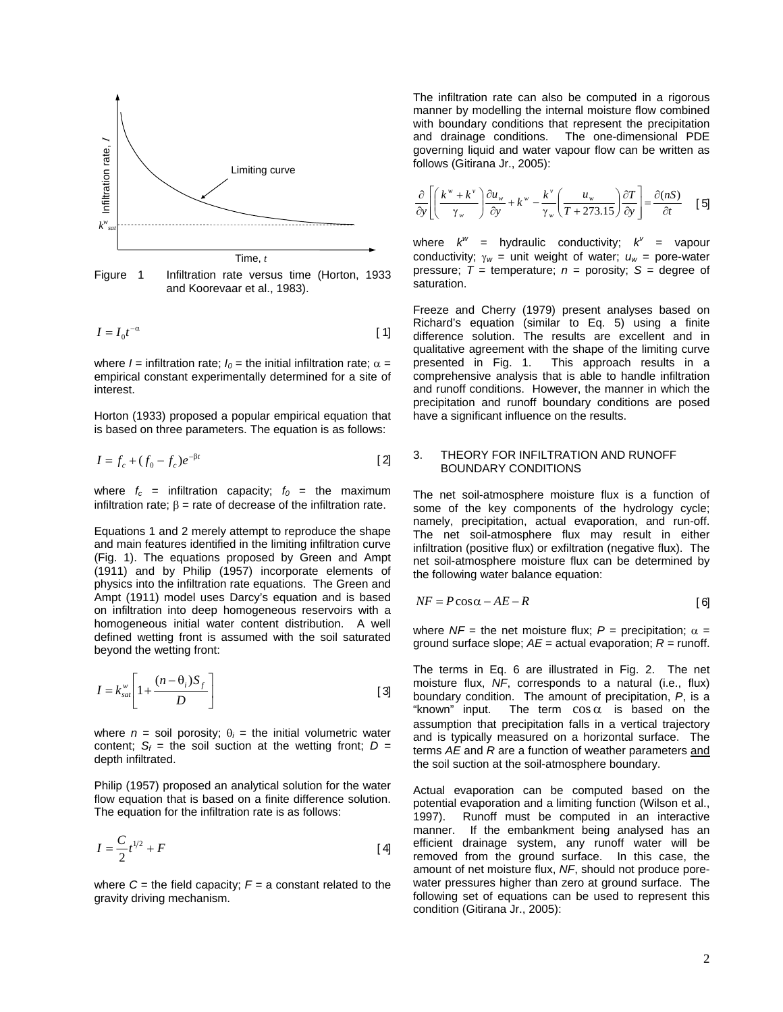

Figure 1 Infiltration rate versus time (Horton, 1933 and Koorevaar et al., 1983).

$$
I = I_0 t^{-\alpha} \tag{1}
$$

where  $I =$  infiltration rate;  $I_0 =$  the initial infiltration rate;  $\alpha =$ empirical constant experimentally determined for a site of interest.

Horton (1933) proposed a popular empirical equation that is based on three parameters. The equation is as follows:

$$
I = f_c + (f_0 - f_c)e^{-\beta t}
$$
 [2]

where  $f_c$  = infiltration capacity;  $f_0$  = the maximum infiltration rate;  $β =$  rate of decrease of the infiltration rate.

Equations 1 and 2 merely attempt to reproduce the shape and main features identified in the limiting infiltration curve (Fig. 1). The equations proposed by Green and Ampt (1911) and by Philip (1957) incorporate elements of physics into the infiltration rate equations. The Green and Ampt (1911) model uses Darcy's equation and is based on infiltration into deep homogeneous reservoirs with a homogeneous initial water content distribution. A well defined wetting front is assumed with the soil saturated beyond the wetting front:

$$
I = k_{sat}^{\text{w}} \left[ 1 + \frac{(n - \theta_i)S_f}{D} \right]
$$
 [3]

where  $n =$  soil porosity;  $\theta_i =$  the initial volumetric water content;  $S_f$  = the soil suction at the wetting front;  $D =$ depth infiltrated.

Philip (1957) proposed an analytical solution for the water flow equation that is based on a finite difference solution. The equation for the infiltration rate is as follows:

$$
I = \frac{C}{2}t^{1/2} + F
$$
 [4]

where  $C =$  the field capacity;  $F = a$  constant related to the gravity driving mechanism.

The infiltration rate can also be computed in a rigorous manner by modelling the internal moisture flow combined with boundary conditions that represent the precipitation and drainage conditions. The one-dimensional PDE governing liquid and water vapour flow can be written as follows (Gitirana Jr., 2005):

$$
\frac{\partial}{\partial y} \left[ \left( \frac{k^w + k^v}{\gamma_w} \right) \frac{\partial u_w}{\partial y} + k^w - \frac{k^v}{\gamma_w} \left( \frac{u_w}{T + 273.15} \right) \frac{\partial T}{\partial y} \right] = \frac{\partial (nS)}{\partial t} \quad [5]
$$

where  $k^w =$  hydraulic conductivity;  $k^v =$  vapour conductivity;  $\gamma_w =$  unit weight of water;  $u_w =$  pore-water pressure:  $T =$  temperature:  $n =$  porosity:  $S =$  degree of saturation.

Freeze and Cherry (1979) present analyses based on Richard's equation (similar to Eq. 5) using a finite difference solution. The results are excellent and in qualitative agreement with the shape of the limiting curve presented in Fig. 1. This approach results in a comprehensive analysis that is able to handle infiltration and runoff conditions. However, the manner in which the precipitation and runoff boundary conditions are posed have a significant influence on the results.

## 3. THEORY FOR INFILTRATION AND RUNOFF BOUNDARY CONDITIONS

The net soil-atmosphere moisture flux is a function of some of the key components of the hydrology cycle; namely, precipitation, actual evaporation, and run-off. The net soil-atmosphere flux may result in either infiltration (positive flux) or exfiltration (negative flux). The net soil-atmosphere moisture flux can be determined by the following water balance equation:

$$
NF = P\cos\alpha - AE - R
$$
 [6]

where  $NF =$  the net moisture flux;  $P =$  precipitation;  $\alpha =$ ground surface slope;  $AE =$  actual evaporation;  $R =$  runoff.

The terms in Eq. 6 are illustrated in Fig. 2. The net moisture flux, *NF*, corresponds to a natural (i.e., flux) boundary condition. The amount of precipitation,  $P$ , is a "known" input. The term  $\cos \alpha$  is based on the "known" input. The term  $\cos \alpha$  is based on the assumption that precipitation falls in a vertical trajectory and is typically measured on a horizontal surface. The terms *AE* and *R* are a function of weather parameters and the soil suction at the soil-atmosphere boundary.

Actual evaporation can be computed based on the potential evaporation and a limiting function (Wilson et al., 1997). Runoff must be computed in an interactive manner. If the embankment being analysed has an efficient drainage system, any runoff water will be removed from the ground surface. In this case, the amount of net moisture flux, *NF*, should not produce porewater pressures higher than zero at ground surface. The following set of equations can be used to represent this condition (Gitirana Jr., 2005):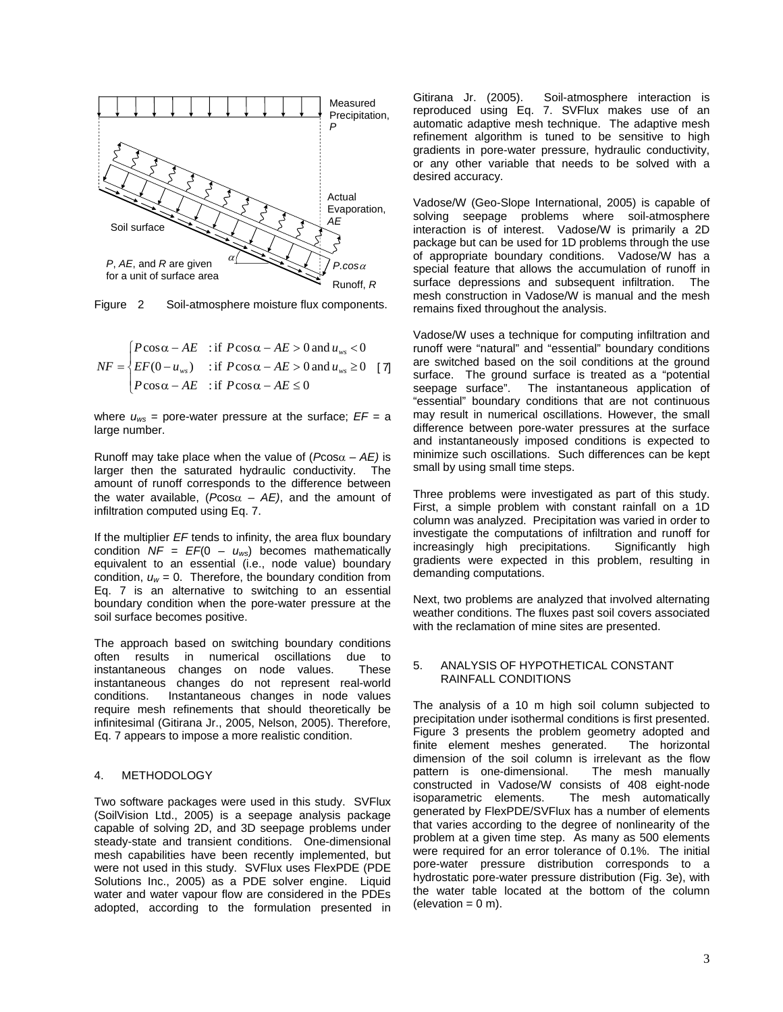

Figure 2 Soil-atmosphere moisture flux components.

$$
NF = \begin{cases} P\cos\alpha - AE & \text{if } P\cos\alpha - AE > 0 \text{ and } u_{ws} < 0\\ EF(0 - u_{ws}) & \text{if } P\cos\alpha - AE > 0 \text{ and } u_{ws} \ge 0\\ P\cos\alpha - AE & \text{if } P\cos\alpha - AE \le 0 \end{cases}
$$
[7]

where  $u_{ws}$  = pore-water pressure at the surface;  $EF = a$ large number.

Runoff may take place when the value of  $(Pcos\alpha - AE)$  is larger then the saturated hydraulic conductivity. The amount of runoff corresponds to the difference between the water available,  $(P\cos\alpha - AE)$ , and the amount of infiltration computed using Eq. 7.

If the multiplier *EF* tends to infinity, the area flux boundary condition *NF* = *EF*(0 – *uws*) becomes mathematically equivalent to an essential (i.e., node value) boundary condition,  $u_w = 0$ . Therefore, the boundary condition from Eq. 7 is an alternative to switching to an essential boundary condition when the pore-water pressure at the soil surface becomes positive.

The approach based on switching boundary conditions often results in numerical oscillations due to instantaneous changes on node values. These instantaneous changes do not represent real-world Instantaneous changes in node values require mesh refinements that should theoretically be infinitesimal (Gitirana Jr., 2005, Nelson, 2005). Therefore, Eq. 7 appears to impose a more realistic condition.

## 4. METHODOLOGY

Two software packages were used in this study. SVFlux (SoilVision Ltd., 2005) is a seepage analysis package capable of solving 2D, and 3D seepage problems under steady-state and transient conditions. One-dimensional mesh capabilities have been recently implemented, but were not used in this study. SVFlux uses FlexPDE (PDE Solutions Inc., 2005) as a PDE solver engine. Liquid water and water vapour flow are considered in the PDEs adopted, according to the formulation presented in

Gitirana Jr. (2005). Soil-atmosphere interaction is reproduced using Eq. 7. SVFlux makes use of an automatic adaptive mesh technique. The adaptive mesh refinement algorithm is tuned to be sensitive to high gradients in pore-water pressure, hydraulic conductivity, or any other variable that needs to be solved with a desired accuracy.

Vadose/W (Geo-Slope International, 2005) is capable of solving seepage problems where soil-atmosphere interaction is of interest. Vadose/W is primarily a 2D package but can be used for 1D problems through the use of appropriate boundary conditions. Vadose/W has a special feature that allows the accumulation of runoff in surface depressions and subsequent infiltration. The mesh construction in Vadose/W is manual and the mesh remains fixed throughout the analysis.

Vadose/W uses a technique for computing infiltration and runoff were "natural" and "essential" boundary conditions are switched based on the soil conditions at the ground surface. The ground surface is treated as a "potential seepage surface". The instantaneous application of "essential" boundary conditions that are not continuous may result in numerical oscillations. However, the small difference between pore-water pressures at the surface and instantaneously imposed conditions is expected to minimize such oscillations. Such differences can be kept small by using small time steps.

Three problems were investigated as part of this study. First, a simple problem with constant rainfall on a 1D column was analyzed. Precipitation was varied in order to investigate the computations of infiltration and runoff for<br>increasingly high precipitations. Significantly high increasingly high precipitations. gradients were expected in this problem, resulting in demanding computations.

Next, two problems are analyzed that involved alternating weather conditions. The fluxes past soil covers associated with the reclamation of mine sites are presented.

## 5. ANALYSIS OF HYPOTHETICAL CONSTANT RAINFALL CONDITIONS

The analysis of a 10 m high soil column subjected to precipitation under isothermal conditions is first presented. Figure 3 presents the problem geometry adopted and finite element meshes generated. The horizontal dimension of the soil column is irrelevant as the flow pattern is one-dimensional. The mesh manually constructed in Vadose/W consists of 408 eight-node isoparametric elements. The mesh automatically generated by FlexPDE/SVFlux has a number of elements that varies according to the degree of nonlinearity of the problem at a given time step. As many as 500 elements were required for an error tolerance of 0.1%. The initial pore-water pressure distribution corresponds to a hydrostatic pore-water pressure distribution (Fig. 3e), with the water table located at the bottom of the column  $(elevation = 0 m)$ .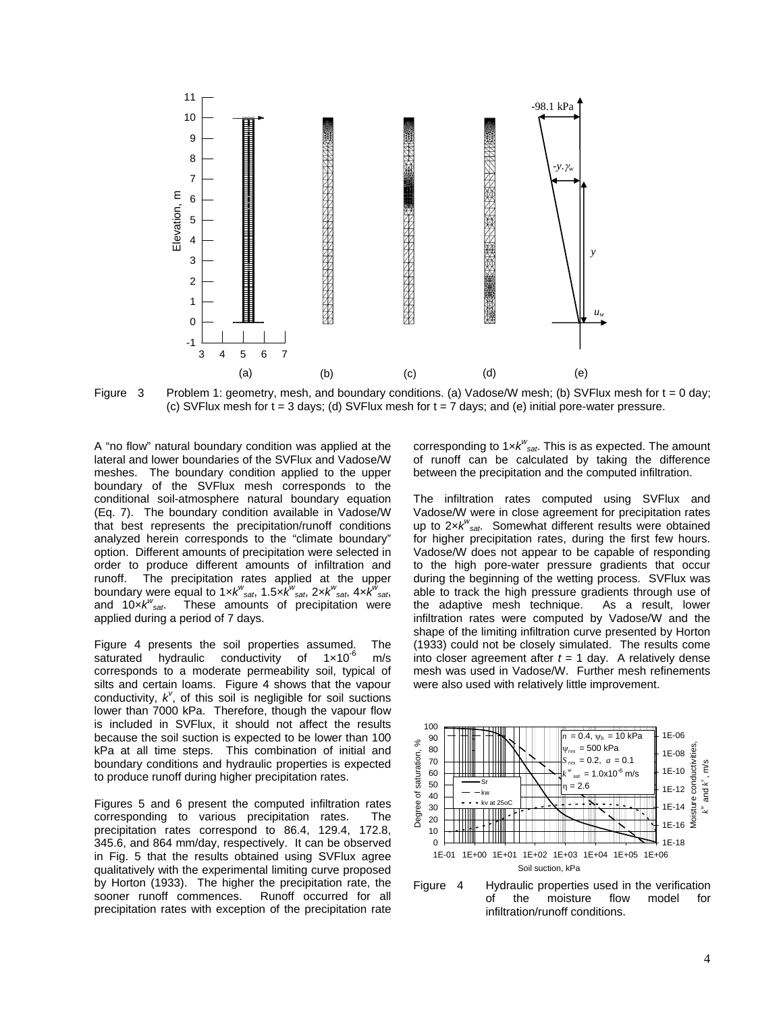

Figure 3 Problem 1: geometry, mesh, and boundary conditions. (a) Vadose/W mesh; (b) SVFlux mesh for t = 0 day; (c) SVFlux mesh for  $t = 3$  days; (d) SVFlux mesh for  $t = 7$  days; and (e) initial pore-water pressure.

A "no flow" natural boundary condition was applied at the lateral and lower boundaries of the SVFlux and Vadose/W meshes. The boundary condition applied to the upper boundary of the SVFlux mesh corresponds to the conditional soil-atmosphere natural boundary equation (Eq. 7). The boundary condition available in Vadose/W that best represents the precipitation/runoff conditions analyzed herein corresponds to the "climate boundary" option. Different amounts of precipitation were selected in order to produce different amounts of infiltration and runoff. The precipitation rates applied at the upper boundary were equal to 1×*k w sat*, 1.5×*k w sat*, 2×*k w sat*, 4×*k w sat*, and 10×*k<sup>w</sup> sat*. These amounts of precipitation were applied during a period of 7 days.

Figure 4 presents the soil properties assumed. The saturated hydraulic conductivity of 1×10<sup>-6</sup> m/s corresponds to a moderate permeability soil, typical of silts and certain loams. Figure 4 shows that the vapour conductivity,  $k^{\nu}$ , of this soil is negligible for soil suctions lower than 7000 kPa. Therefore, though the vapour flow is included in SVFlux, it should not affect the results because the soil suction is expected to be lower than 100 kPa at all time steps. This combination of initial and boundary conditions and hydraulic properties is expected to produce runoff during higher precipitation rates.

Figures 5 and 6 present the computed infiltration rates corresponding to various precipitation rates. The precipitation rates correspond to 86.4, 129.4, 172.8, 345.6, and 864 mm/day, respectively. It can be observed in Fig. 5 that the results obtained using SVFlux agree qualitatively with the experimental limiting curve proposed by Horton (1933). The higher the precipitation rate, the sooner runoff commences. Runoff occurred for all precipitation rates with exception of the precipitation rate

corresponding to 1×*kw sat*. This is as expected. The amount of runoff can be calculated by taking the difference between the precipitation and the computed infiltration.

The infiltration rates computed using SVFlux and Vadose/W were in close agreement for precipitation rates up to 2×*k<sup>w</sup> sat*. Somewhat different results were obtained for higher precipitation rates, during the first few hours. Vadose/W does not appear to be capable of responding to the high pore-water pressure gradients that occur during the beginning of the wetting process. SVFlux was able to track the high pressure gradients through use of the adaptive mesh technique. As a result, lower infiltration rates were computed by Vadose/W and the shape of the limiting infiltration curve presented by Horton (1933) could not be closely simulated. The results come into closer agreement after  $t = 1$  day. A relatively dense mesh was used in Vadose/W. Further mesh refinements were also used with relatively little improvement.



Figure 4 Hydraulic properties used in the verification<br>of the moisture flow model for of the moisture flow model for infiltration/runoff conditions.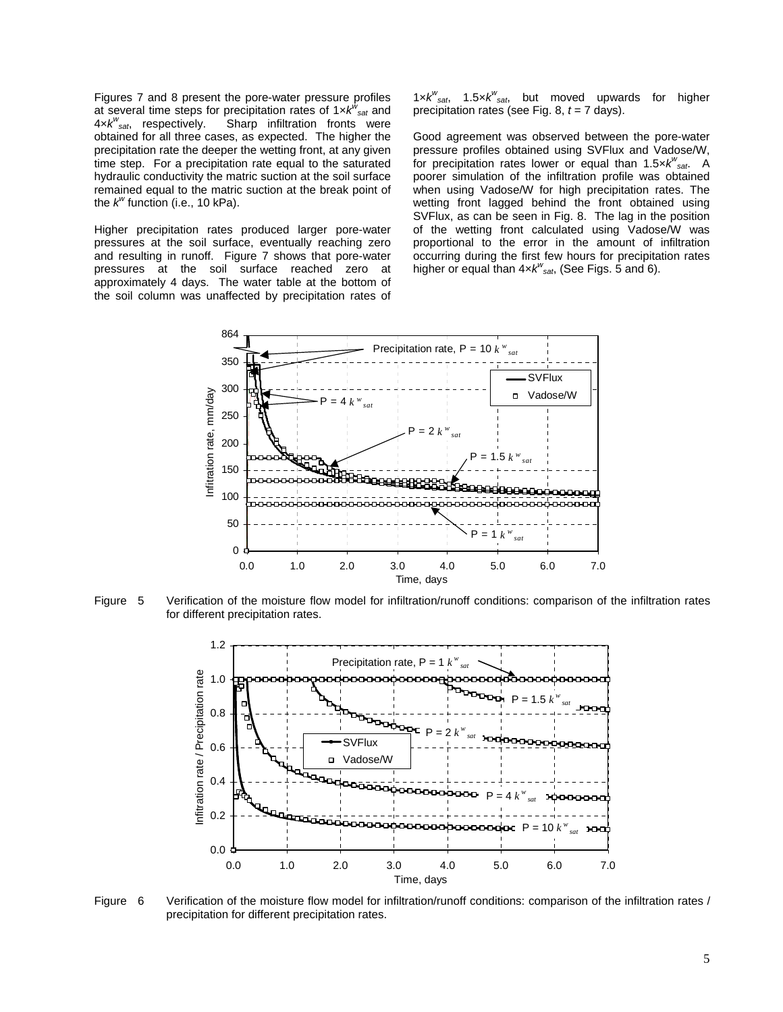Figures 7 and 8 present the pore-water pressure profiles at several time steps for precipitation rates of 1×*k w sat* and 4×*k w* Sharp infiltration fronts were obtained for all three cases, as expected. The higher the precipitation rate the deeper the wetting front, at any given time step. For a precipitation rate equal to the saturated hydraulic conductivity the matric suction at the soil surface remained equal to the matric suction at the break point of the *k<sup>w</sup>* function (i.e., 10 kPa).

Higher precipitation rates produced larger pore-water pressures at the soil surface, eventually reaching zero and resulting in runoff. Figure 7 shows that pore-water pressures at the soil surface reached zero at approximately 4 days. The water table at the bottom of the soil column was unaffected by precipitation rates of

1× $k^{w}_{sat}$ , 1.5× $k^{w}_{sat}$ , but moved upwards for higher precipitation rates (see Fig. 8, *t* = 7 days).

Good agreement was observed between the pore-water pressure profiles obtained using SVFlux and Vadose/W, for precipitation rates lower or equal than 1.5×*k w sat*. A poorer simulation of the infiltration profile was obtained when using Vadose/W for high precipitation rates. The wetting front lagged behind the front obtained using SVFlux, as can be seen in Fig. 8. The lag in the position of the wetting front calculated using Vadose/W was proportional to the error in the amount of infiltration occurring during the first few hours for precipitation rates higher or equal than 4×*k<sup>w</sup> sat*, (See Figs. 5 and 6).



Figure 5 Verification of the moisture flow model for infiltration/runoff conditions: comparison of the infiltration rates for different precipitation rates.



Figure 6 Verification of the moisture flow model for infiltration/runoff conditions: comparison of the infiltration rates / precipitation for different precipitation rates.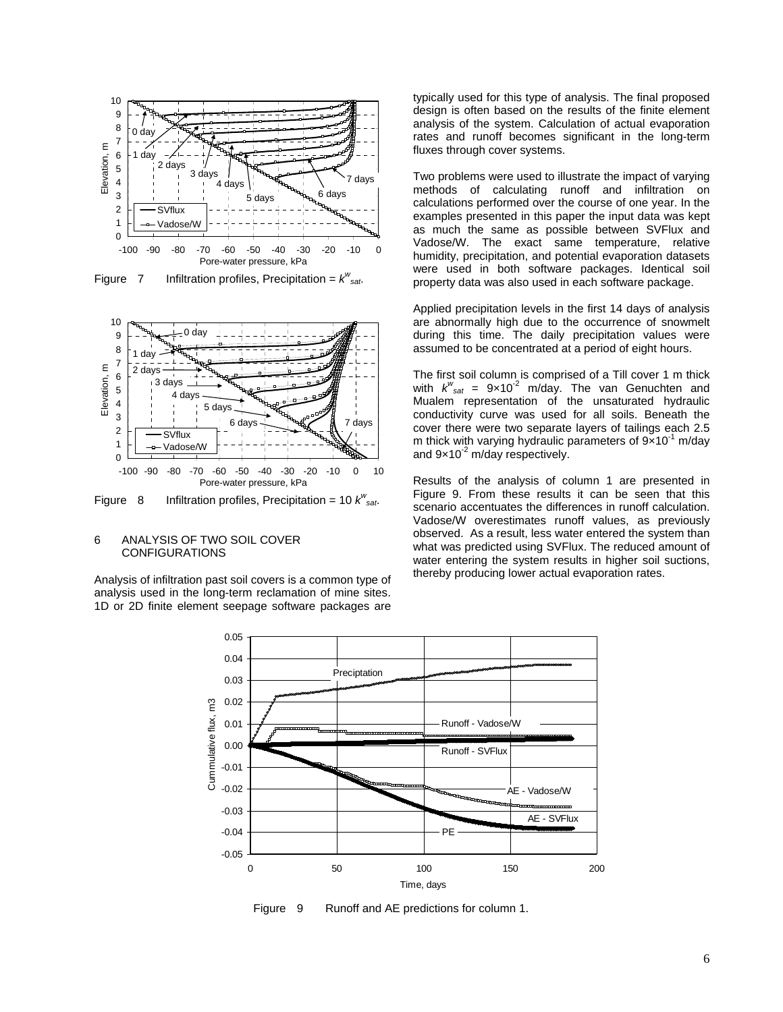

Figure 7 Infiltration profiles, Precipitation =  $k^w_{sat}$ .



Figure 8 Infiltration profiles, Precipitation = 10  $k^w$ <sub>sat</sub>.

## 6 ANALYSIS OF TWO SOIL COVER CONFIGURATIONS

Analysis of infiltration past soil covers is a common type of analysis used in the long-term reclamation of mine sites. 1D or 2D finite element seepage software packages are typically used for this type of analysis. The final proposed design is often based on the results of the finite element analysis of the system. Calculation of actual evaporation rates and runoff becomes significant in the long-term fluxes through cover systems.

Two problems were used to illustrate the impact of varying methods of calculating runoff and infiltration on calculations performed over the course of one year. In the examples presented in this paper the input data was kept as much the same as possible between SVFlux and Vadose/W. The exact same temperature, relative humidity, precipitation, and potential evaporation datasets were used in both software packages. Identical soil property data was also used in each software package.

Applied precipitation levels in the first 14 days of analysis are abnormally high due to the occurrence of snowmelt during this time. The daily precipitation values were assumed to be concentrated at a period of eight hours.

The first soil column is comprised of a Till cover 1 m thick with  $k^w_{sat}$  =  $9 \times 10^{-2}$  m/day. The van Genuchten and Mualem representation of the unsaturated hydraulic conductivity curve was used for all soils. Beneath the cover there were two separate layers of tailings each 2.5 m thick with varying hydraulic parameters of  $9 \times 10^{-1}$  m/day and  $9 \times 10^{-2}$  m/day respectively.

Results of the analysis of column 1 are presented in Figure 9. From these results it can be seen that this scenario accentuates the differences in runoff calculation. Vadose/W overestimates runoff values, as previously observed. As a result, less water entered the system than what was predicted using SVFlux. The reduced amount of water entering the system results in higher soil suctions, thereby producing lower actual evaporation rates.



Figure 9 Runoff and AE predictions for column 1.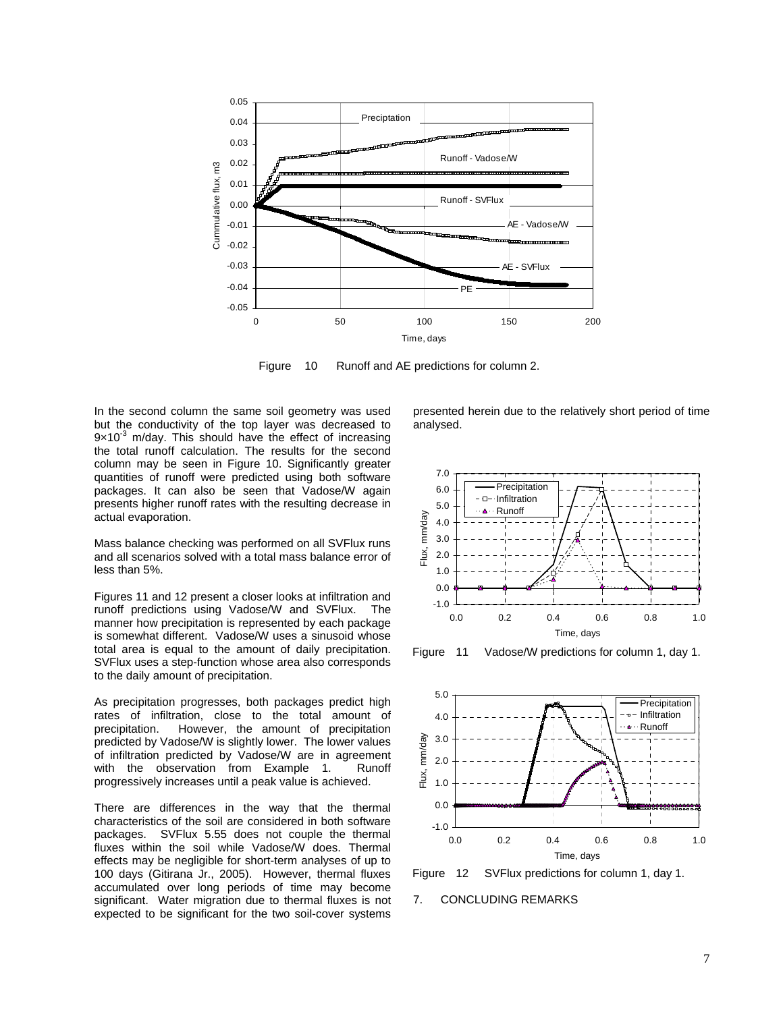

Figure 10 Runoff and AE predictions for column 2.

In the second column the same soil geometry was used but the conductivity of the top layer was decreased to  $9\times10^{-3}$  m/day. This should have the effect of increasing the total runoff calculation. The results for the second column may be seen in Figure 10. Significantly greater quantities of runoff were predicted using both software packages. It can also be seen that Vadose/W again presents higher runoff rates with the resulting decrease in actual evaporation.

Mass balance checking was performed on all SVFlux runs and all scenarios solved with a total mass balance error of less than 5%.

Figures 11 and 12 present a closer looks at infiltration and runoff predictions using Vadose/W and SVFlux. The manner how precipitation is represented by each package is somewhat different. Vadose/W uses a sinusoid whose total area is equal to the amount of daily precipitation. SVFlux uses a step-function whose area also corresponds to the daily amount of precipitation.

As precipitation progresses, both packages predict high rates of infiltration, close to the total amount of precipitation. However, the amount of precipitation predicted by Vadose/W is slightly lower. The lower values of infiltration predicted by Vadose/W are in agreement with the observation from Example 1. Runoff progressively increases until a peak value is achieved.

There are differences in the way that the thermal characteristics of the soil are considered in both software packages. SVFlux 5.55 does not couple the thermal fluxes within the soil while Vadose/W does. Thermal effects may be negligible for short-term analyses of up to 100 days (Gitirana Jr., 2005). However, thermal fluxes accumulated over long periods of time may become significant. Water migration due to thermal fluxes is not expected to be significant for the two soil-cover systems

presented herein due to the relatively short period of time analysed.



Figure 11 Vadose/W predictions for column 1, day 1.





## 7. CONCLUDING REMARKS